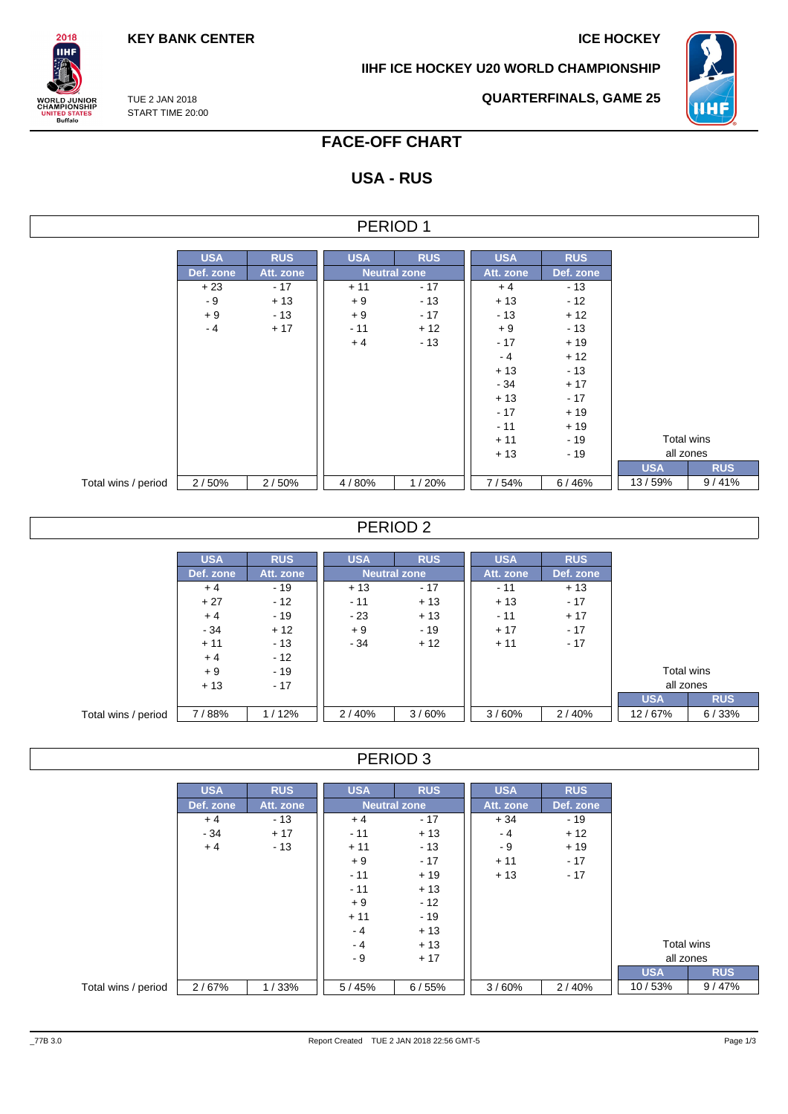**KEY BANK CENTER ICE HOCKEY** 

**IIHF ICE HOCKEY U20 WORLD CHAMPIONSHIP**



**QUARTERFINALS, GAME 25**

TUE 2 JAN 2018 START TIME 20:00

 $2018$ **IIHF** 

**ORLD JUNIOR**<br>HAMPIONSHIP

**INITED STATES**<br>Buffalo

## **FACE-OFF CHART**

## **USA - RUS**

#### PERIOD 1

|                     | <b>USA</b> | <b>RUS</b> | <b>USA</b> | <b>RUS</b>          | <b>USA</b> | <b>RUS</b> |            |  |            |  |            |       |
|---------------------|------------|------------|------------|---------------------|------------|------------|------------|--|------------|--|------------|-------|
|                     | Def. zone  | Att. zone  |            | <b>Neutral zone</b> | Att. zone  | Def. zone  |            |  |            |  |            |       |
|                     | $+23$      | $-17$      | $+11$      | $-17$               | $+4$       | $-13$      |            |  |            |  |            |       |
|                     | - 9        | $+13$      | $+9$       | $-13$               | $+13$      | $-12$      |            |  |            |  |            |       |
|                     | $+9$       | $-13$      | $+9$       | $-17$               | $-13$      | $+12$      |            |  |            |  |            |       |
|                     | $-4$       | $+17$      | $-11$      | $+12$               | $+9$       | $-13$      |            |  |            |  |            |       |
|                     |            |            | $+4$       | $-13$               | $-17$      | $+19$      |            |  |            |  |            |       |
|                     |            |            |            |                     | $-4$       | $+12$      |            |  |            |  |            |       |
|                     |            |            |            |                     | $+13$      | $-13$      |            |  |            |  |            |       |
|                     |            |            |            |                     | $-34$      | $+17$      |            |  |            |  |            |       |
|                     |            |            |            |                     | $+13$      | $-17$      |            |  |            |  |            |       |
|                     |            |            |            |                     | $-17$      | $+19$      |            |  |            |  |            |       |
|                     |            |            |            |                     | $-11$      | $+19$      |            |  |            |  |            |       |
|                     |            |            |            |                     | $+11$      | $-19$      |            |  | Total wins |  |            |       |
|                     |            |            |            |                     | $+13$      | $-19$      |            |  | all zones  |  |            |       |
|                     |            |            |            |                     |            |            | <b>USA</b> |  |            |  | <b>RUS</b> |       |
| Total wins / period | 2/50%      | 2/50%      | 4/80%      | 1/20%               | 7/54%      | 6/46%      | 13/59%     |  |            |  |            | 9/41% |

#### PERIOD 2

|                     | <b>USA</b> | <b>RUS</b> | <b>USA</b> | <b>RUS</b>          | <b>USA</b> | <b>RUS</b> |            |            |
|---------------------|------------|------------|------------|---------------------|------------|------------|------------|------------|
|                     | Def. zone  | Att. zone  |            | <b>Neutral zone</b> | Att. zone  | Def. zone  |            |            |
|                     | $+4$       | $-19$      | $+13$      | $-17$               | - 11       | $+13$      |            |            |
|                     | $+27$      | $-12$      | $-11$      | $+13$               | $+13$      | $-17$      |            |            |
|                     | $+4$       | $-19$      | $-23$      | $+13$               | $-11$      | $+17$      |            |            |
|                     | $-34$      | $+12$      | $+9$       | $-19$               | $+17$      | $-17$      |            |            |
|                     | $+11$      | $-13$      | $-34$      | $+12$               | $+11$      | $-17$      |            |            |
|                     | $+4$       | $-12$      |            |                     |            |            |            |            |
|                     | $+9$       | $-19$      |            |                     |            |            | Total wins |            |
|                     | $+13$      | $-17$      |            |                     |            |            | all zones  |            |
|                     |            |            |            |                     |            |            | <b>USA</b> | <b>RUS</b> |
| Total wins / period | 7/88%      | 1/12%      | 2/40%      | 3/60%               | 3/60%      | 2/40%      | 12/67%     | 6/33%      |

#### PERIOD 3

|                     | <b>USA</b> | <b>RUS</b> | <b>USA</b> | <b>RUS</b>          | <b>USA</b> | <b>RUS</b> |            |            |
|---------------------|------------|------------|------------|---------------------|------------|------------|------------|------------|
|                     | Def. zone  | Att. zone  |            | <b>Neutral zone</b> | Att. zone  | Def. zone  |            |            |
|                     | $+4$       | $-13$      | $+4$       | $-17$               | $+34$      | $-19$      |            |            |
|                     | $-34$      | $+17$      | $-11$      | $+13$               | $-4$       | $+12$      |            |            |
|                     | $+4$       | $-13$      | $+11$      | $-13$               | - 9        | $+19$      |            |            |
|                     |            |            | $+9$       | $-17$               | $+11$      | $-17$      |            |            |
|                     |            |            | $-11$      | $+19$               | $+13$      | $-17$      |            |            |
|                     |            |            | $-11$      | $+13$               |            |            |            |            |
|                     |            |            | $+9$       | $-12$               |            |            |            |            |
|                     |            |            | $+11$      | $-19$               |            |            |            |            |
|                     |            |            | $-4$       | $+13$               |            |            |            |            |
|                     |            |            | $-4$       | $+13$               |            |            | Total wins |            |
|                     |            |            | $-9$       | $+17$               |            |            | all zones  |            |
|                     |            |            |            |                     |            |            | <b>USA</b> | <b>RUS</b> |
| Total wins / period | 2/67%      | 1/33%      | 5/45%      | 6/55%               | 3/60%      | 2/40%      | 10/53%     | 9/47%      |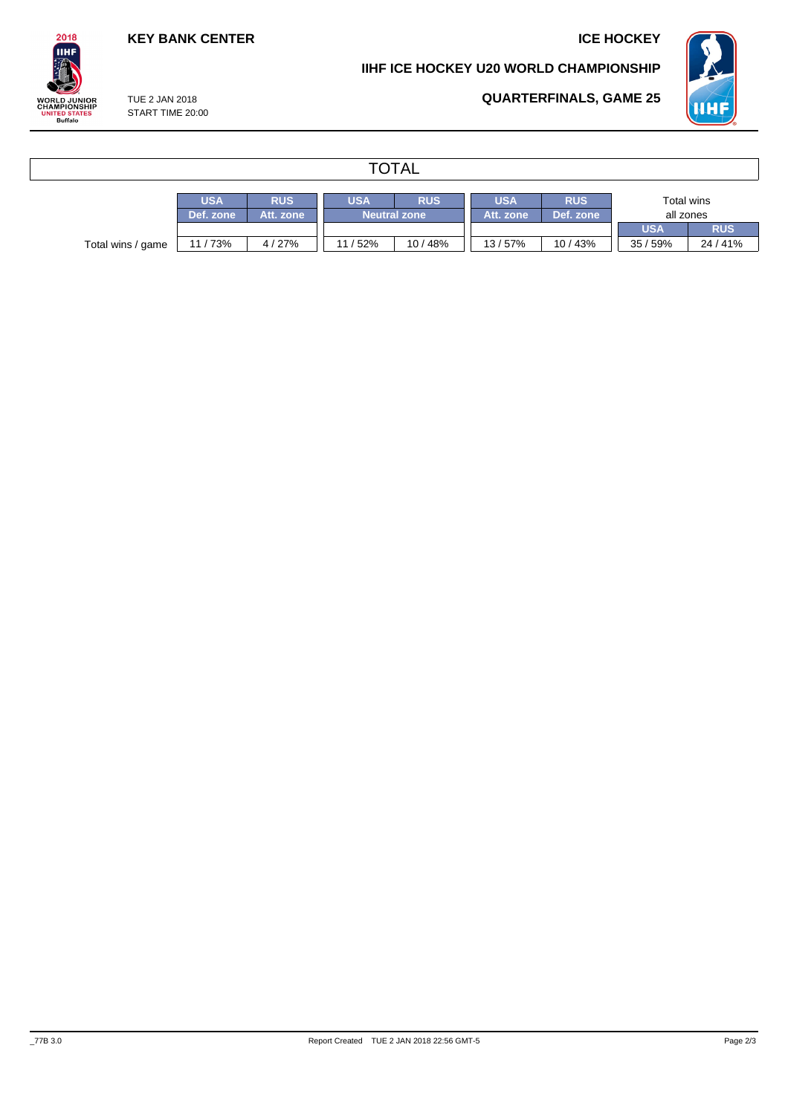**QUARTERFINALS, GAME 25**

### **KEY BANK CENTER ICE HOCKEY**

#### **IIHF ICE HOCKEY U20 WORLD CHAMPIONSHIP**



TUE 2 JAN 2018 START TIME 20:00

 $2018$ **IIHF** 

WORLD JUNIOR<br>CHAMPIONSHIP<br>UNITED STATES<br>Buffalo

## **TOTAL**

|                   | <b>USA</b> | <b>RUS</b> | <b>JSA</b>          | <b>RUS</b> | USA       | <b>RUS</b> | Total wins |            |  |
|-------------------|------------|------------|---------------------|------------|-----------|------------|------------|------------|--|
|                   | Def. zone  | Att. zone  | <b>Neutral zone</b> |            | Att. zone | Def. zone  | all zones  |            |  |
|                   |            |            |                     |            |           |            | <b>USA</b> | <b>RUS</b> |  |
| Total wins / game | 11/73%     | 4/27%      | 11/52%              | 10/48%     | 13/57%    | 10/43%     | 35/59%     | 24/41%     |  |